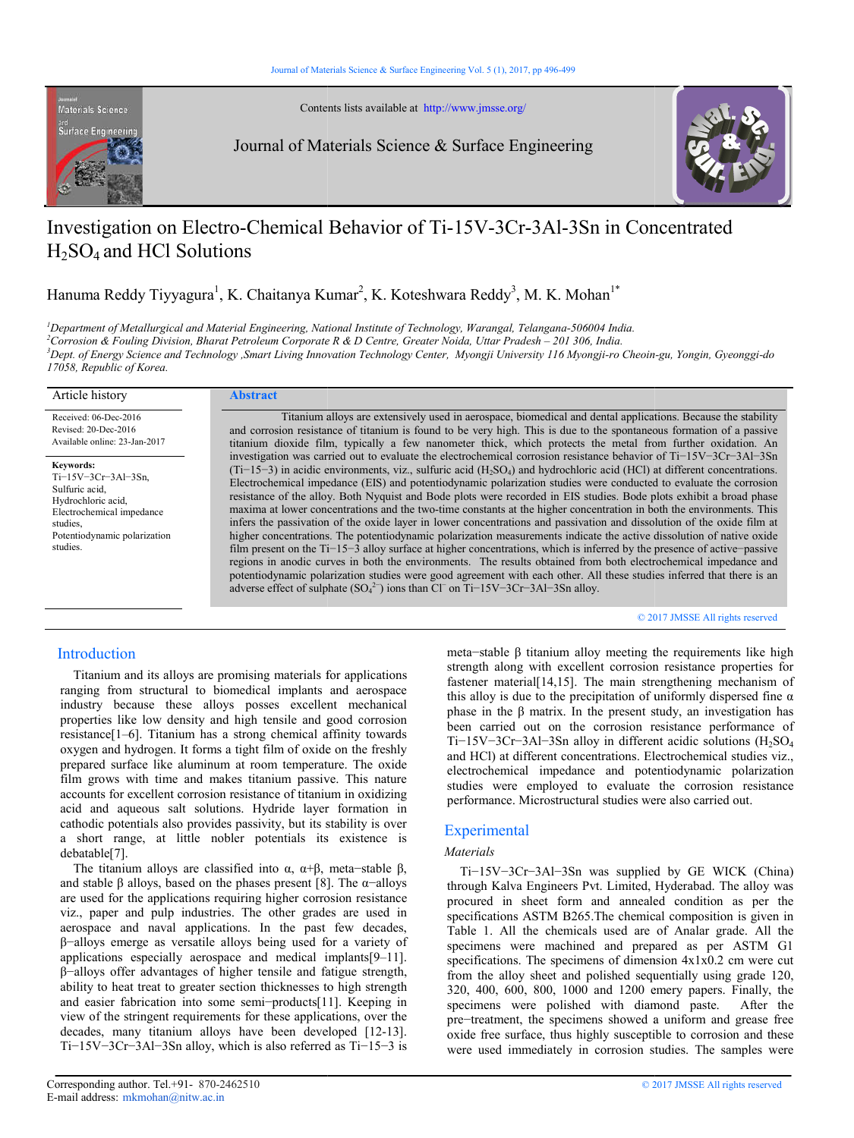

Contents lists available at available at http://www.jmsse.org/

Journal of Materials Science & Surface Engineering



# Investigation on Electro-Chemical Behavior of Ti-15V-3Cr-3Al-3Sn in Concentrated  $H_2SO_4$  and HCl Solutions

Hanuma Reddy Tiyyagura<sup>1</sup>, K. Chaitanya Kumar<sup>2</sup>, K. Koteshwara Reddy<sup>3</sup>, M. K. Mohan<sup>1\*</sup>

<sup>*I*</sup> Department of Metallurgical and Material Engineering, National Institute of Technology, Warangal, Telangana-506004 India. <sup>2</sup>Corrosion & Fouling Division, Bharat Petroleum Corporate R & D Centre, Greater Noida, Uttar Pradesh – 201 306, India. <sup>3</sup>Dept. of Energy Science and Technology ,Smart Living Innovation Technology Center, Myongji University 116 Myongji-ro Cheoin-gu, Yongin, Gyeonggi-do *17058, Republic of Korea.*

| Article history                                                                                                                                                         | <b>Abstract</b>                                                                                                                                                                                                                                                                                                                                                                                                                                                                                                                                                                                                                                                                                                                                                                                                                                                                                                                                                                                                                                                                                                                                                                                                                                                                                                                                       |
|-------------------------------------------------------------------------------------------------------------------------------------------------------------------------|-------------------------------------------------------------------------------------------------------------------------------------------------------------------------------------------------------------------------------------------------------------------------------------------------------------------------------------------------------------------------------------------------------------------------------------------------------------------------------------------------------------------------------------------------------------------------------------------------------------------------------------------------------------------------------------------------------------------------------------------------------------------------------------------------------------------------------------------------------------------------------------------------------------------------------------------------------------------------------------------------------------------------------------------------------------------------------------------------------------------------------------------------------------------------------------------------------------------------------------------------------------------------------------------------------------------------------------------------------|
| Received: 06-Dec-2016<br>Revised: 20-Dec-2016<br>Available online: 23-Jan-2017                                                                                          | Titanium alloys are extensively used in aerospace, biomedical and dental applications. Because the stability<br>and corrosion resistance of titanium is found to be very high. This is due to the spontaneous formation of a passive<br>titanium dioxide film, typically a few nanometer thick, which protects the metal from further oxidation. An                                                                                                                                                                                                                                                                                                                                                                                                                                                                                                                                                                                                                                                                                                                                                                                                                                                                                                                                                                                                   |
| <b>Keywords:</b><br>$Ti-15V-3Cr-3Al-3Sn$ ,<br>Sulfuric acid.<br>Hydrochloric acid,<br>Electrochemical impedance<br>studies.<br>Potentiodynamic polarization<br>studies. | investigation was carried out to evaluate the electrochemical corrosion resistance behavior of Ti-15V-3Cr-3Al-3Sn<br>$(Ti-15-3)$ in acidic environments, viz., sulfuric acid ( $H_2SO_4$ ) and hydrochloric acid (HCl) at different concentrations.<br>Electrochemical impedance (EIS) and potentiodynamic polarization studies were conducted to evaluate the corrosion<br>resistance of the alloy. Both Nyquist and Bode plots were recorded in EIS studies. Bode plots exhibit a broad phase<br>maxima at lower concentrations and the two-time constants at the higher concentration in both the environments. This<br>infers the passivation of the oxide layer in lower concentrations and passivation and dissolution of the oxide film at<br>higher concentrations. The potentiodynamic polarization measurements indicate the active dissolution of native oxide<br>film present on the $Ti-15-3$ alloy surface at higher concentrations, which is inferred by the presence of active-passive<br>regions in anodic curves in both the environments. The results obtained from both electrochemical impedance and<br>potentiodynamic polarization studies were good agreement with each other. All these studies inferred that there is an<br>adverse effect of sulphate $(SO_4^{2-})$ ions than Cl <sup>-</sup> on Ti-15V-3Cr-3Al-3Sn alloy. |

© 2017 JMSSE All rights reserved

# Introduction

 Titanium and its alloys are promising materials for applications ranging from structural to biomedical implants and aerospace industry because these alloys posses excellent mechanical properties like low density and high tensile and good corrosion resistance[1–6]. Titanium has a strong chemical affinity towards oxygen and hydrogen. It forms a tight film of oxide on the freshly Titanium and its alloys are promising materials for applications<br>ranging from structural to biomedical implants and aerospace<br>industry because these alloys posses excellent mechanical<br>properties like low density and high t film grows with time and makes titanium passive. This nature accounts for excellent corrosion resistance of titanium in oxidizing acid and aqueous salt solutions. Hydride layer formation in film grows with time and makes titanium passive. This nature<br>accounts for excellent corrosion resistance of titanium in oxidizing<br>acid and aqueous salt solutions. Hydride layer formation in<br>cathodic potentials also provide a short range, at little nobler potentials its existence is debatable[7]. α short range, at little nobler potentials its existence is debatable[7].<br>The titanium alloys are classified into  $\alpha$ ,  $\alpha+\beta$ , meta-stable  $\beta$ ,

and stable  $\beta$  alloys, based on the phases present [8]. The  $\alpha$ -alloys are used for the applications requiring higher corrosion resistance viz., paper and pulp industries. The other grades are used in aerospace and naval applications. In the past few decades, β−alloys emerge as versatile alloys being used for a applications especially aerospace and medical implants $[9-11]$ . β−alloys offer advantages of higher tensile and fatigue strength, ability to heat treat to greater section thicknesses to high strength ability to heat treat to greater section thicknesses to high strength<br>and easier fabrication into some semi-products[11]. Keeping in view of the stringent requirements for these applications, over the view of the stringent requirements for these applications, over the decades, many titanium alloys have been developed [12-13]. Ti−15V−3Cr−3Al−3Sn alloy, which is also referred as Ti−15−3 is for the applications requiring higher corrosion resistance<br>paper and pulp industries. The other grades are used in<br>pace and naval applications. In the past few decades,<br>bys emerge as versatile alloys being used for a varie meta−stable β titanium alloy meeting the requirements like high strength along with excellent corrosion resistance properties for fastener material[14,15]. The main strengthening mechanism of this alloy is due to the precipitation of uniformly dispersed fine  $\alpha$ phase in the β matrix. In the present study, an investigation has been carried out on the corrosion resistance performance of Ti-15V-3Cr-3Al-3Sn alloy in different acidic solutions (H<sub>2</sub>SO<sub>4</sub> and HCl) at different concentrations. Electrochemical studies viz., electrochemical impedance and potentiodynamic polarization studies were employed to evaluate the corrosion resistance performance. Microstructural studies were also carried out.

# **Experimental**

## *Materials*

 Ti−15V−3Cr−3Al−3Sn was supplied by GE WICK (China) through Kalva Engineers Pvt. Limited, Hyderabad. The alloy was procured in sheet form and annealed condition as per the specifications ASTM B265.The chemical composition is given in Table 1. All the chemicals used are of Analar grade. All the specimens were machined and prepared as per ASTM G1 specifications. The specimens of dimension  $4x1x0.2$  cm were cut from the alloy sheet and polished sequentially using grade 120, 320, 400, 600, 800, 1000 and 1200 emery papers. Finally, t the specimens were polished with diamond paste. After the pre-treatment, the specimens showed a uniform and grease free oxide free surface, thus highly susceptible to corrosion and these were used immediately in corrosion studies. The samples were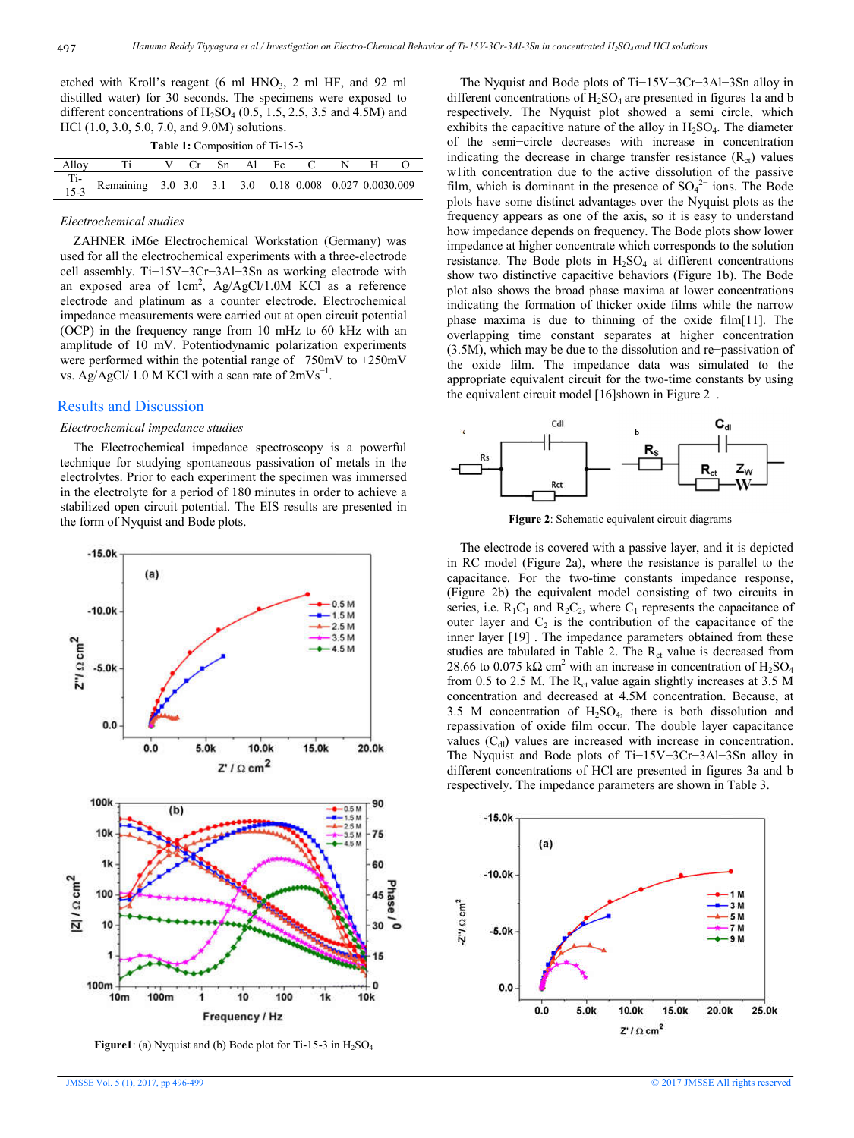etched with Kroll's reagent  $(6 \text{ ml HNO}_3, 2 \text{ ml HF}, \text{ and } 92 \text{ ml})$ distilled water) for 30 seconds. The specimens were exposed to different concentrations of  $H_2SO_4$  (0.5, 1.5, 2.5, 3.5 and 4.5M) and HCl (1.0, 3.0, 5.0, 7.0, and 9.0M) solutions.

**Table 1:** Composition of Ti-15-3

| Alloy Ti V Cr Sn Al Fe C N H O                                    |  |  |  |  |  |
|-------------------------------------------------------------------|--|--|--|--|--|
| Ti-<br>15-3 Remaining 3.0 3.0 3.1 3.0 0.18 0.008 0.027 0.0030.009 |  |  |  |  |  |

#### *Electrochemical studies*

 ZAHNER iM6e Electrochemical Workstation (Germany) was used for all the electrochemical experiments with a three-electrode cell assembly. Ti−15V−3Cr−3Al−3Sn as working electrode with an exposed area of  $1 \text{cm}^2$ , Ag/AgCl/1.0M KCl as a reference electrode and platinum as a counter electrode. Electrochemical impedance measurements were carried out at open circuit potential (OCP) in the frequency range from 10 mHz to 60 kHz with an amplitude of 10 mV. Potentiodynamic polarization experiments were performed within the potential range of −750mV to +250mV vs. Ag/AgCl/ 1.0 M KCl with a scan rate of  $2mVs^{-1}$ .

## Results and Discussion

#### *Electrochemical impedance studies*

 The Electrochemical impedance spectroscopy is a powerful technique for studying spontaneous passivation of metals in the electrolytes. Prior to each experiment the specimen was immersed in the electrolyte for a period of 180 minutes in order to achieve a stabilized open circuit potential. The EIS results are presented in the form of Nyquist and Bode plots.



**Figure1**: (a) Nyquist and (b) Bode plot for Ti-15-3 in H<sub>2</sub>SO<sub>4</sub>

 The Nyquist and Bode plots of Ti−15V−3Cr−3Al−3Sn alloy in different concentrations of  $H_2SO_4$  are presented in figures 1a and b respectively. The Nyquist plot showed a semi−circle, which exhibits the capacitive nature of the alloy in  $H_2SO_4$ . The diameter of the semi−circle decreases with increase in concentration indicating the decrease in charge transfer resistance  $(R<sub>ct</sub>)$  values w1ith concentration due to the active dissolution of the passive film, which is dominant in the presence of  $SO_4^2$  ions. The Bode plots have some distinct advantages over the Nyquist plots as the frequency appears as one of the axis, so it is easy to understand how impedance depends on frequency. The Bode plots show lower impedance at higher concentrate which corresponds to the solution resistance. The Bode plots in  $H_2SO_4$  at different concentrations show two distinctive capacitive behaviors (Figure 1b). The Bode plot also shows the broad phase maxima at lower concentrations indicating the formation of thicker oxide films while the narrow phase maxima is due to thinning of the oxide film[11]. The overlapping time constant separates at higher concentration (3.5M), which may be due to the dissolution and re−passivation of the oxide film. The impedance data was simulated to the appropriate equivalent circuit for the two-time constants by using the equivalent circuit model [16]shown in Figure 2 .



**Figure 2**: Schematic equivalent circuit diagrams

 The electrode is covered with a passive layer, and it is depicted in RC model (Figure 2a), where the resistance is parallel to the capacitance. For the two-time constants impedance response, (Figure 2b) the equivalent model consisting of two circuits in series, i.e.  $R_1C_1$  and  $R_2C_2$ , where  $C_1$  represents the capacitance of outer layer and  $C_2$  is the contribution of the capacitance of the inner layer [19] . The impedance parameters obtained from these studies are tabulated in Table 2. The  $R<sub>ct</sub>$  value is decreased from 28.66 to 0.075 kΩ cm<sup>2</sup> with an increase in concentration of H<sub>2</sub>SO<sub>4</sub> from 0.5 to 2.5 M. The  $R_{ct}$  value again slightly increases at 3.5 M concentration and decreased at 4.5M concentration. Because, at 3.5 M concentration of  $H_2SO_4$ , there is both dissolution and repassivation of oxide film occur. The double layer capacitance values  $(C_{d})$  values are increased with increase in concentration. The Nyquist and Bode plots of Ti−15V−3Cr−3Al−3Sn alloy in different concentrations of HCl are presented in figures 3a and b respectively. The impedance parameters are shown in Table 3.

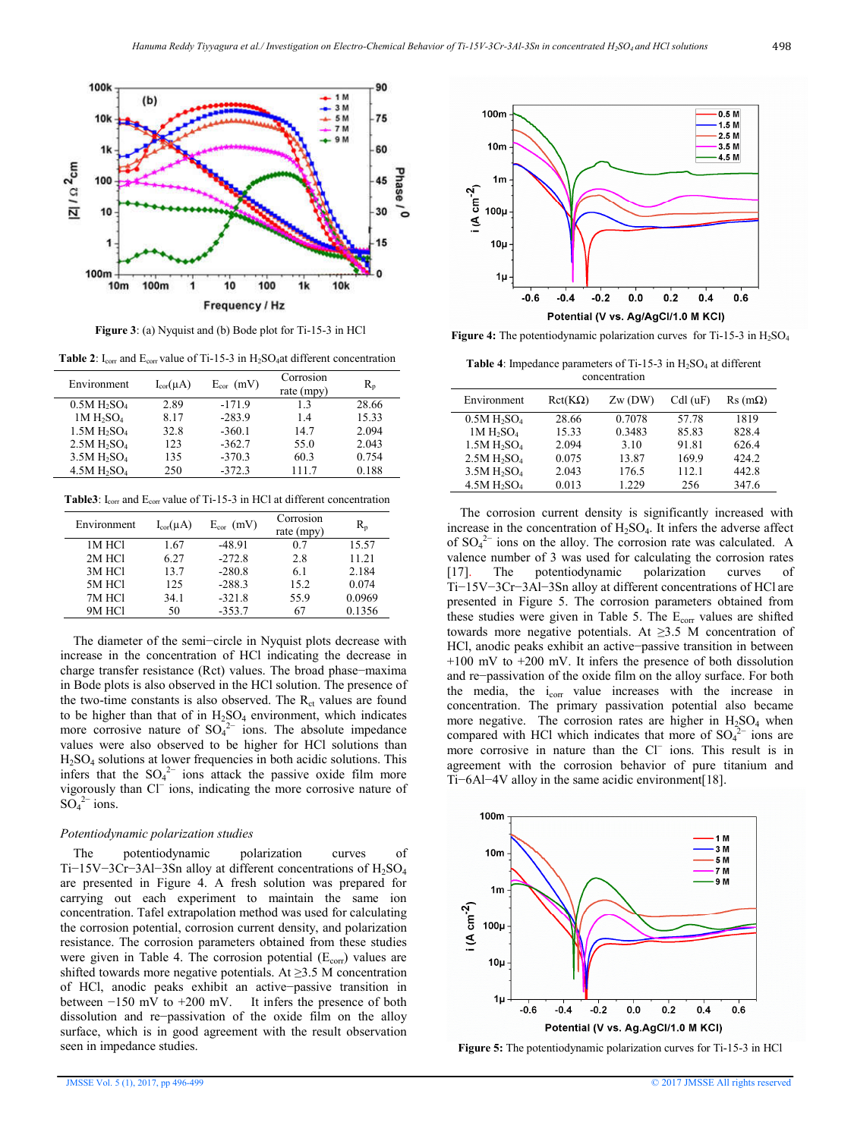

**Figure 3**: (a) Nyquist and (b) Bode plot for Ti-15-3 in HCl

**Table 2**:  $I_{corr}$  and  $E_{corr}$  value of Ti-15-3 in  $H_2SO_4$ at different concentration

| Environment                         | $I_{cor}(\mu A)$ | $E_{cor}$ (mV) | Corrosion<br>rate $(mpy)$ | $R_{n}$ |
|-------------------------------------|------------------|----------------|---------------------------|---------|
| 0.5M H <sub>2</sub> SO <sub>4</sub> | 2.89             | $-171.9$       | 13                        | 28.66   |
| 1M H <sub>2</sub> SO <sub>4</sub>   | 8.17             | $-283.9$       | 1.4                       | 15.33   |
| 1.5M H <sub>2</sub> SO <sub>4</sub> | 32.8             | $-360.1$       | 14.7                      | 2.094   |
| 2.5M H <sub>2</sub> SO <sub>4</sub> | 123              | $-362.7$       | 55.0                      | 2.043   |
| 3.5M H <sub>2</sub> SO <sub>4</sub> | 135              | $-370.3$       | 60.3                      | 0.754   |
| 4.5M H <sub>2</sub> SO <sub>4</sub> | 250              | $-372.3$       | 111.7                     | 0.188   |

Table3: I<sub>corr</sub> and E<sub>corr</sub> value of Ti-15-3 in HCl at different concentration

| Environment | $I_{cor}(\mu A)$ | $E_{cor}$ (mV) | Corrosion<br>rate (mpy) | R,     |
|-------------|------------------|----------------|-------------------------|--------|
| 1M HCl      | 1.67             | $-48.91$       | 0.7                     | 15.57  |
| 2M HCl      | 6.27             | $-272.8$       | 2.8                     | 11.21  |
| 3M HCl      | 13.7             | $-280.8$       | 6.1                     | 2.184  |
| 5M HCl      | 125              | $-288.3$       | 15.2                    | 0.074  |
| 7M HCI      | 34.1             | $-321.8$       | 55.9                    | 0.0969 |
| 9M HCl      | 50               | $-353.7$       | 67                      | 0.1356 |

 The diameter of the semi−circle in Nyquist plots decrease with increase in the concentration of HCl indicating the decrease in charge transfer resistance (Rct) values. The broad phase−maxima in Bode plots is also observed in the HCl solution. The presence of the two-time constants is also observed. The  $R_{ct}$  values are found to be higher than that of in  $H_2SO_4$  environment, which indicates more corrosive nature of  $SO_4^2$  ions. The absolute impedance values were also observed to be higher for HCl solutions than H2SO4 solutions at lower frequencies in both acidic solutions. This infers that the  $SO_4^2$  ions attack the passive oxide film more vigorously than Cl− ions, indicating the more corrosive nature of  $SO_4^2$ <sup>-</sup> ions.

#### *Potentiodynamic polarization studies*

 The potentiodynamic polarization curves of Ti−15V−3Cr−3Al−3Sn alloy at different concentrations of H<sub>2</sub>SO<sub>4</sub> are presented in Figure 4. A fresh solution was prepared for carrying out each experiment to maintain the same ion concentration. Tafel extrapolation method was used for calculating the corrosion potential, corrosion current density, and polarization resistance. The corrosion parameters obtained from these studies were given in Table 4. The corrosion potential  $(E_{\text{corr}})$  values are shifted towards more negative potentials. At  $\geq$ 3.5 M concentration of HCl, anodic peaks exhibit an active−passive transition in between −150 mV to +200 mV. It infers the presence of both dissolution and re−passivation of the oxide film on the alloy surface, which is in good agreement with the result observation seen in impedance studies.



**Figure 4:** The potentiodynamic polarization curves for Ti-15-3 in H<sub>2</sub>SO<sub>4</sub>

Table 4: Impedance parameters of Ti-15-3 in H<sub>2</sub>SO<sub>4</sub> at different concentration

| Environment                         | $Rct(K\Omega)$ | Zw(DW) | CdI (uF) | $\text{Rs}(m\Omega)$ |
|-------------------------------------|----------------|--------|----------|----------------------|
| 0.5M H <sub>2</sub> SO <sub>4</sub> | 28.66          | 0.7078 | 57.78    | 1819                 |
| 1M H <sub>2</sub> SO <sub>4</sub>   | 15.33          | 0.3483 | 85.83    | 828.4                |
| 1.5M H <sub>2</sub> SO <sub>4</sub> | 2.094          | 3.10   | 91.81    | 626.4                |
| 2.5M H <sub>2</sub> SO <sub>4</sub> | 0.075          | 13.87  | 169.9    | 424.2                |
| 3.5M H <sub>2</sub> SO <sub>4</sub> | 2.043          | 176.5  | 112.1    | 442.8                |
| 4.5M H <sub>2</sub> SO <sub>4</sub> | 0.013          | 1.229  | 256      | 347.6                |

 The corrosion current density is significantly increased with increase in the concentration of  $H_2SO_4$ . It infers the adverse affect of  $SO_4^2$ <sup>-</sup> ions on the alloy. The corrosion rate was calculated. A valence number of 3 was used for calculating the corrosion rates [17]. The potentiodynamic polarization curves of [17]. The potentiodynamic polarization curves of Ti−15V−3Cr−3Al−3Sn alloy at different concentrations of HCl are presented in Figure 5. The corrosion parameters obtained from these studies were given in Table 5. The  $E_{corr}$  values are shifted towards more negative potentials. At  $\geq 3.5$  M concentration of HCl, anodic peaks exhibit an active−passive transition in between +100 mV to +200 mV. It infers the presence of both dissolution and re−passivation of the oxide film on the alloy surface. For both the media, the  $i_{corr}$  value increases with the increase in concentration. The primary passivation potential also became more negative. The corrosion rates are higher in  $H_2SO_4$  when compared with HCl which indicates that more of  $SO_4^{2-}$  ions are more corrosive in nature than the Cl− ions. This result is in agreement with the corrosion behavior of pure titanium and Ti−6Al−4V alloy in the same acidic environment[18].



**Figure 5:** The potentiodynamic polarization curves for Ti-15-3 in HCl